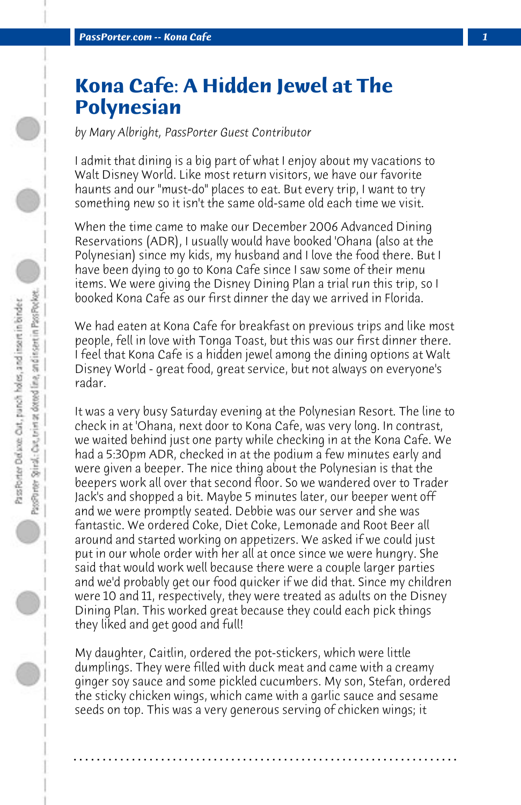## **Kona Cafe: A Hidden Jewel at The Polynesian**

*by Mary Albright, PassPorter Guest Contributor*

I admit that dining is a big part of what I enjoy about my vacations to Walt Disney World. Like most return visitors, we have our favorite haunts and our "must-do" places to eat. But every trip, I want to try something new so it isn't the same old-same old each time we visit.

When the time came to make our December 2006 Advanced Dining Reservations (ADR), I usually would have booked 'Ohana (also at the Polynesian) since my kids, my husband and I love the food there. But I have been dying to go to Kona Cafe since I saw some of their menu items. We were giving the Disney Dining Plan a trial run this trip, so I booked Kona Cafe as our first dinner the day we arrived in Florida.

We had eaten at Kona Cafe for breakfast on previous trips and like most people, fell in love with Tonga Toast, but this was our first dinner there. I feel that Kona Cafe is a hidden jewel among the dining options at Walt Disney World - great food, great service, but not always on everyone's radar.

It was a very busy Saturday evening at the Polynesian Resort. The line to check in at 'Ohana, next door to Kona Cafe, was very long. In contrast, we waited behind just one party while checking in at the Kona Cafe. We had a 5:30pm ADR, checked in at the podium a few minutes early and were given a beeper. The nice thing about the Polynesian is that the beepers work all over that second floor. So we wandered over to Trader Jack's and shopped a bit. Maybe 5 minutes later, our beeper went off and we were promptly seated. Debbie was our server and she was fantastic. We ordered Coke, Diet Coke, Lemonade and Root Beer all around and started working on appetizers. We asked if we could just put in our whole order with her all at once since we were hungry. She said that would work well because there were a couple larger parties and we'd probably get our food quicker if we did that. Since my children were 10 and 11, respectively, they were treated as adults on the Disney Dining Plan. This worked great because they could each pick things they liked and get good and full!

My daughter, Caitlin, ordered the pot-stickers, which were little dumplings. They were filled with duck meat and came with a creamy ginger soy sauce and some pickled cucumbers. My son, Stefan, ordered the sticky chicken wings, which came with a garlic sauce and sesame seeds on top. This was a very generous serving of chicken wings; it

**. . . . . . . . . . . . . . . . . . . . . . . . . . . . . . . . . . . . . . . . . . . . . . . . . . . . . . . . . . . . . . . . . .**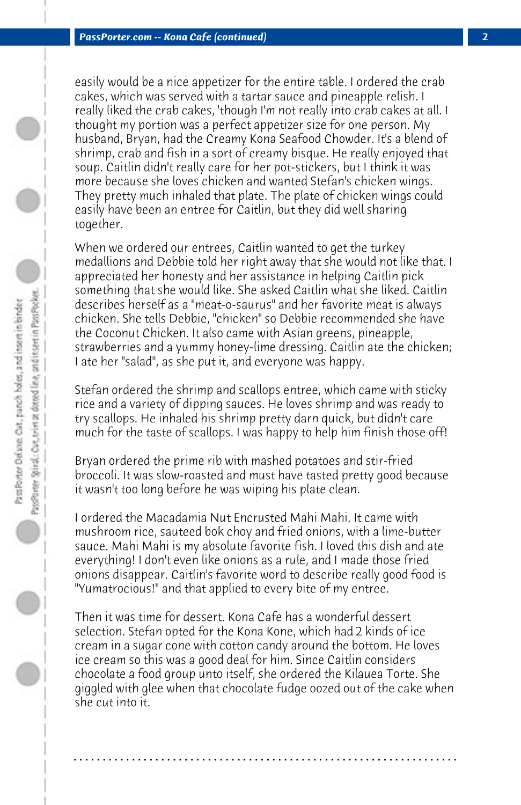easily would be a nice appetizer for the entire table. I ordered the crab cakes, which was served with a tartar sauce and pineapple relish. I really liked the crab cakes, 'though I'm not really into crab cakes at all. I thought my portion was a perfect appetizer size for one person. My husband, Bryan, had the Creamy Kona Seafood Chowder. It's a blend of shrimp, crab and fish in a sort of creamy bisque. He really enjoyed that soup. Caitlin didn't really care for her pot-stickers, but I think it was more because she loves chicken and wanted Stefan's chicken wings. They pretty much inhaled that plate. The plate of chicken wings could easily have been an entree for Caitlin, but they did well sharing together.

When we ordered our entrees, Caitlin wanted to get the turkey medallions and Debbie told her right away that she would not like that. I appreciated her honesty and her assistance in helping Caitlin pick something that she would like. She asked Caitlin what she liked. Caitlin describes herself as a "meat-o-saurus" and her favorite meat is always chicken. She tells Debbie, "chicken" so Debbie recommended she have the Coconut Chicken. It also came with Asian greens, pineapple, strawberries and a yummy honey-lime dressing. Caitlin ate the chicken; I ate her "salad", as she put it, and everyone was happy.

Stefan ordered the shrimp and scallops entree, which came with sticky rice and a variety of dipping sauces. He loves shrimp and was ready to try scallops. He inhaled his shrimp pretty darn quick, but didn't care much for the taste of scallops. I was happy to help him finish those off!

Bryan ordered the prime rib with mashed potatoes and stir-fried broccoli. It was slow-roasted and must have tasted pretty good because it wasn't too long before he was wiping his plate clean.

I ordered the Macadamia Nut Encrusted Mahi Mahi. It came with mushroom rice, sauteed bok choy and fried onions, with a lime-butter sauce. Mahi Mahi is my absolute favorite fish. I loved this dish and ate everything! I don't even like onions as a rule, and I made those fried onions disappear. Caitlin's favorite word to describe really good food is "Yumatrocious!" and that applied to every bite of my entree.

Then it was time for dessert. Kona Cafe has a wonderful dessert selection. Stefan opted for the Kona Kone, which had 2 kinds of ice cream in a sugar cone with cotton candy around the bottom. He loves ice cream so this was a good deal for him. Since Caitlin considers chocolate a food group unto itself, she ordered the Kilauea Torte. She giggled with glee when that chocolate fudge oozed out of the cake when she cut into it.

**. . . . . . . . . . . . . . . . . . . . . . . . . . . . . . . . . . . . . . . . . . . . . . . . . . . . . . . . . . . . . . . . . .**